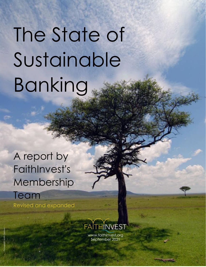# The State of Sustainable Banking

## A report by FaithInvest's Membership

Team Revised and expanded



www.faithinvest.org September 2021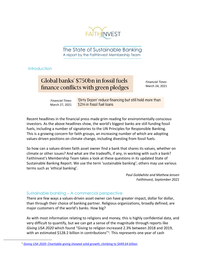

The State of Sustainable Banking A report by the FaithInvest Membership Team

#### **Introduction**

### Global banks' \$750bn in fossil fuels finance conflicts with green pledges

*Financial Times* March 24, 2021

'Dirty Dozen' reduce financing but still hold more than *Financial Times* \$2tn in fossil fuel loans March 27, 2021

Recent headlines in the financial press made grim reading for environmentally conscious investors. As the above headlines show, the world's biggest banks are still funding fossil fuels, including a number of signatories to the UN Principles for Responsible Banking. This is a growing concern for faith groups, an increasing number of which are adopting values-driven positions on climate change, including divesting from fossil fuels.

So how can a values-driven faith asset owner find a bank that shares its values, whether on climate or other issues? And what are the tradeoffs, if any, in working with such a bank? FaithInvest's Membership Team takes a look at these questions in its updated State of Sustainable Banking Report. We use the term 'sustainable banking'; others may use various terms such as 'ethical banking'.

> *Paul Goldwhite and Mathew Jensen FaithInvest, September 2021*

#### Sustainable banking – A commercial perspective

There are few ways a values-driven asset owner can have greater impact, dollar for dollar, than through their choice of banking partner. Religious organizations, broadly defined, are major customers of the world's banks. How big?

As with most information relating to religions and money, this is highly confidential data, and very difficult to quantify, but we can get a sense of the magnitude through reports like *Giving USA 2020* which found "Giving to religion increased 2.3% between 2018 and 2019, with an estimated \$128.2 billion in contributions<sup>"1</sup>. This represents one year of cash

<sup>&</sup>lt;sup>1</sup> Giving USA 2020[: Charitable giving showed solid growth, climbing to \\$449.64 billion](https://givingusa.org/giving-usa-2020-charitable-giving-showed-solid-growth-climbing-to-449-64-billion-in-2019-one-of-the-highest-years-for-giving-on-record/)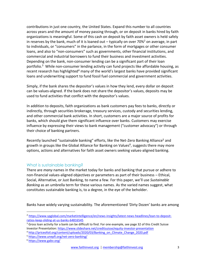contributions in just one country, the United States. Expand this number to all countries across years and the amount of money passing through, or on deposit in banks hired by faith organizations is meaningful. Some of this cash on deposit by faith asset owners is held safely in reserves by the bank, much of it is loaned out – typically on over 70%<sup>2</sup> on average, in part to individuals, or "consumers" in the parlance, in the form of mortgages or other consumer loans, and also to "non-consumers" such as governments, other financial institutions, and commercial and industrial borrowers to fund their business and investment activities. Depending on the bank, non-consumer lending can be a significant part of their loan portfolio. <sup>3</sup> While non-consumer lending activity can fund projects like affordable housing, as recent research has highlighted<sup>4</sup> many of the world's largest banks have provided significant loans and underwriting support to fund fossil fuel commercial and government activities.

Simply, if the bank shares the depositor's values in how they lend, every dollar on deposit can be values-aligned. If the bank does not share the depositor's values, deposits may be used to fund activities that conflict with the depositor's values.

In addition to deposits, faith organizations as bank customers pay fees to banks, directly or indirectly, through securities brokerage, treasury services, custody and securities lending, and other commercial bank activities. In short, customers are a major source of profits for banks, which should give them significant influence over banks. Customers may exercise influence by expressing their views to bank management ("customer advocacy") or through their choice of banking partners.

Recently launched "sustainable banking" efforts, like the Net-Zero Banking Alliance<sup>5</sup> and growth in groups like the Global Alliance for Banking on Values<sup>6</sup>, suggests there may more options, actions and alternatives for faith asset owners seeking values-aligned banking.

#### What is sustainable banking?

There are *many* names in the market today for banks and banking that pursue or adhere to non-financial values-aligned objectives or parameters as part of their business – Ethical, Social, Alternative, or Just Banking, to name a few. For this paper, we'll use *Sustainable Banking* as an umbrella term for these various names. As the varied names suggest, what constitutes sustainable banking is, to a degree, in the eye of the beholder.

Banks have widely varying sustainability. The aforementioned 'Dirty Dozen' banks are among

<sup>&</sup>lt;sup>2</sup> [https://www.spglobal.com/marketintelligence/en/news-insights/latest-news-headlines/loan-to-deposit](https://www.spglobal.com/marketintelligence/en/news-insights/latest-news-headlines/loan-to-deposit-ratios-keep-sliding-at-us-banks-64816545)[ratios-keep-sliding-at-us-banks-64816545](https://www.spglobal.com/marketintelligence/en/news-insights/latest-news-headlines/loan-to-deposit-ratios-keep-sliding-at-us-banks-64816545)

<sup>&</sup>lt;sup>3</sup> Gross loan activity for a bank can be difficult to find. For one example, see page 32 of this Credit Suisse Investor Presentation:<https://www.slideshare.net/creditsuisse/equity-investor-presentation>

<sup>&</sup>lt;sup>4</sup> [http://priceofoil.org/content/uploads/2020/03/Banking\\_on\\_Climate\\_Change\\_2020.pdf](http://priceofoil.org/content/uploads/2020/03/Banking_on_Climate_Change_2020.pdf)

<sup>5</sup> <https://www.unepfi.org/net-zero-banking/>

<sup>6</sup> <https://www.gabv.org/>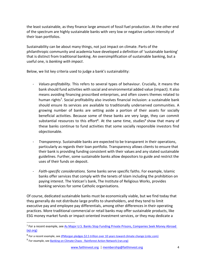the least sustainable, as they finance large amount of fossil fuel production. At the other end of the spectrum are highly sustainable banks with very low or negative carbon intensity of their loan portfolios.

Sustainability can be about many things, not just impact on climate. Parts of the philanthropic community and academia have developed a definition of 'sustainable banking' that is distinct from traditional banking. An oversimplification of sustainable banking, but a useful one, is *banking with impact*.

Below, we list key criteria used to judge a bank's sustainability:

- *Values-profitability.* This refers to several types of behaviour. Crucially, it means the bank should fund activities with social and environmental added value (impact). It also means avoiding financing proscribed enterprises, and often covers themes related to human rights<sup>7</sup>. Social profitability also involves financial inclusion: a sustainable bank should ensure its services are available to traditionally underserved communities. A growing number of banks are setting aside a portion of their assets for socially beneficial activities. Because some of these banks are very large, they can commit substantial resources to this effort<sup>8</sup>. At the same time, studies<sup>9</sup> show that many of these banks continue to fund activities that some socially responsible investors find objectionable.
- *Transparency.* Sustainable banks are expected to be transparent in their operations, particularly as regards their loan portfolio. Transparency allows clients to ensure that their bank is providing funding consistent with their values and any stated sustainable guidelines. Further, some sustainable banks allow depositors to guide and restrict the uses of their funds on deposit.
- *Faith-specific considerations.* Some banks serve specific faiths. For example, Islamic banks offer services that comply with the tenets of Islam including the prohibition on paying interest. The Vatican's bank, The Institute of Religious Works, provides banking services for some Catholic organisations.

Of course, dedicated sustainable banks must be economically viable, but we find today that they generally do not distribute large profits to shareholders, and they tend to limit executive pay and employee pay differentials, among other differences in their operating practices. More traditional commercial or retail banks may offer sustainable products, like ESG money market funds or impact-oriented investment services, or they may dedicate a

<sup>&</sup>lt;sup>7</sup> For a recent example, see As Major U.S. Banks Stop Funding Private Prisons, Companies Seek Money Abroad [\(eji.org\)](https://eji.org/news/as-major-u-s-banks-stop-funding-private-prisons-companies-seek-money-abroad/)

<sup>&</sup>lt;sup>8</sup> For a recent example, see <u>JPMorgan pledges \$2.5 trillion over 10 years toward climate change (cnbc.com)</u>

<sup>&</sup>lt;sup>9</sup> For example, see <u>Banking on Climate Chaos - Rainforest Action Network (ran.org)</u>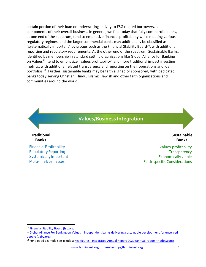certain portion of their loan or underwriting activity to ESG related borrowers, as components of their overall business. In general, we find today that fully commercial banks, at one end of the spectrum, tend to emphasize financial profitability while meeting various regulatory regimes, and the larger commercial banks may additionally be classified as "systematically important" by groups such as the Financial Stability Board<sup>10</sup>, with additional reporting and regulatory requirements. At the other end of the spectrum, Sustainable Banks, identified by membership in standard setting organizations like Global Alliance for Banking on Values<sup>11</sup>, tend to emphasize "values profitability" and more traditional impact investing metrics, with additional related transparency and reporting on their operations and loan portfolios.<sup>12</sup> Further, sustainable banks may be faith aligned or sponsored, with dedicated banks today serving Christian, Hindu, Islamic, Jewish and other faith organizations and communities around the world.



<sup>10</sup> [Financial Stability Board \(fsb.org\)](https://www.fsb.org/)

<sup>&</sup>lt;sup>11</sup> Global Alliance For Banking on Values ~ Independent banks delivering sustainable development for unserved [people \(gabv.org\)](https://www.gabv.org/)

<sup>&</sup>lt;sup>12</sup> For a good example see Triodos: Key figures - [Integrated Annual Report 2020 \(annual-report-triodos.com\)](https://www.annual-report-triodos.com/2020/our-group/key-figures)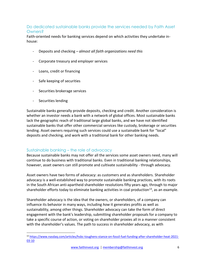#### Do dedicated sustainable banks provide the services needed by Faith Asset Owners?

Faith-oriented needs for banking services depend on which activities they undertake inhouse:

- Deposits and checking *almost all faith organizations need this*
- Corporate treasury and employer services
- Loans, credit or financing
- Safe keeping of securities
- Securities brokerage services
- Securities lending

Sustainable banks generally provide deposits, checking and credit. Another consideration is whether an investor needs a bank with a network of global offices. Most sustainable banks lack the geographic reach of traditional large global banks, and we have not identified sustainable banks that offer other commercial services like custody, brokerage or securities lending. Asset owners requiring such services could use a sustainable bank for "local" deposits and checking, and work with a traditional bank for other banking needs.

#### Sustainable banking – the role of advocacy

Because sustainable banks may not offer all the services some asset owners need, many will continue to do business with traditional banks. Even in traditional banking relationships, however, asset owners can still promote and cultivate sustainability - through advocacy.

Asset owners have two forms of advocacy: as customers and as shareholders. Shareholder advocacy is a well-established way to promote sustainable banking practices, with its roots in the South African anti-apartheid shareholder resolutions fifty years ago, through to major shareholder efforts today to eliminate banking activities in coal production<sup>13</sup>, as an example.

Shareholder advocacy is the idea that the owners, or shareholders, of a company can influence its behavior in many ways, including *how* it generates profits as well as sustainability, among other things. Shareholder advocacy can take the form of direct engagement with the bank's leadership, submitting shareholder proposals for a company to take a specific course of action, or voting on shareholder proxies all in a manner consistent with the shareholder's values. The path to success in shareholder advocacy, as with

<sup>13</sup> [https://www.nasdaq.com/articles/hsbc-toughens-stance-on-fossil-fuel-funding-after-shareholder-heat-2021-](https://www.nasdaq.com/articles/hsbc-toughens-stance-on-fossil-fuel-funding-after-shareholder-heat-2021-03-10) [03-10](https://www.nasdaq.com/articles/hsbc-toughens-stance-on-fossil-fuel-funding-after-shareholder-heat-2021-03-10)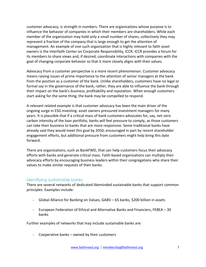customer advocacy, is strength in numbers. There are organizations whose purpose is to influence the behavior of companies in which their members are shareholders. While each member of the organization may hold only a small number of shares, collectively they may represent a fraction of the company that is large enough to get the attention of management. An example of one such organization that is highly relevant to faith asset owners is the Interfaith Center on Corporate Responsibility, ICCR. ICCR provides a forum for its members to share views and, if desired, coordinate interactions with companies with the goal of changing corporate behavior so that it more closely aligns with their values.

Advocacy from a customer perspective is a more recent phenomenon. Customer advocacy means raising issues of prime importance to the attention of senior managers at the bank from the position as a customer of the bank. Unlike shareholders, customers have no legal or formal say in the governance of the bank, rather, they are able to influence the bank through their impact on the bank's business, profitability and reputation*.* When enough customers start asking for the same thing, the bank may be compelled to respond.

A relevant related example is that customer advocacy has been the main driver of the ongoing surge in ESG investing: asset owners pressured investment managers for many years. It is plausible that if a critical mass of bank customers advocates for, say, net-zero carbon intensity of the loan portfolio, banks will feel pressure to comply, as those customers can take their business to banks that are more responsive. Some traditional banks have already said they would meet this goal by 2050, encouraged in part by recent shareholder engagement efforts, but additional pressure from customers might help bring this date forward.

There are organizations, such as BankFWD, that can help customers focus their advocacy efforts with banks and generate critical mass. Faith-based organizations can multiply their advocacy efforts by encouraging business leaders within their congregations who share their values to make similar requests of their banks.

#### Identifying sustainable banks

There are several networks of dedicated likeminded sustainable banks that support common principles. Examples include:

- Global Alliance for Banking on Values, GABV 65 banks, \$200 billion in assets
- European Federation of Ethical and Alternative Banks and Financiers, FEBEA 30 banks

Further examples of networks that may include sustainable banks are:

Cooperative banks  $-$  owned by their customers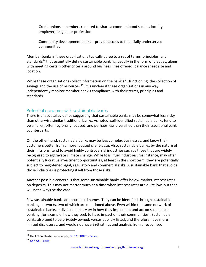- Credit unions members required to share a common bond such as locality, employer, religion or profession
- Community development banks provide access to financially underserved communities

Member banks in these organisations typically agree to a set of terms, principles, and standards<sup>14</sup> that essentially define sustainable banking, usually in the form of pledges, along with meeting certain other criteria around business lines offered, balance sheet size and location.

While these organisations collect information on the bank's '…functioning, the collection of savings and the use of resources<sup> $15$ </sup>, it is unclear if these organisations in any way independently monitor member bank's compliance with their terms, principles and standards.

#### Potential concerns with sustainable banks

There is anecdotal evidence suggesting that sustainable banks may be somewhat less risky than otherwise similar traditional banks. As noted, self-identified sustainable banks tend to be smaller, often regionally focused, and perhaps less diversified than their traditional bank counterparts.

On the other hand, sustainable banks may be less complex businesses, and know their customers better from a more focused client-base. Also, sustainable banks, by the nature of their missions, tend to avoid highly controversial industries such as those that are widely recognised to aggravate climate change. While fossil fuel industries, for instance, may offer potentially lucrative investment opportunities, at least in the short term, they are potentially subject to heightened legal, regulatory and commercial risks. A sustainable bank that avoids those industries is protecting itself from those risks.

Another possible concern is that some sustainable banks offer below-market interest rates on deposits. This may not matter much at a time when interest rates are quite low, but that will not always be the case.

Few sustainable banks are household names. They can be identified through sustainable banking networks, two of which are mentioned above. Even within the same network of sustainable banks, individual banks vary in how they implement and act on sustainable banking (for example, how they seek to have impact on their communities). Sustainable banks also tend to be privately owned, versus publicly listed, and therefore have more limited disclosures, and would not have ESG ratings and analysis from a recognised

<sup>&</sup>lt;sup>14</sup> The FEBEA Charter for example, **OUR CHARTER - Febea** 

<sup>15</sup> JOIN US - Febea